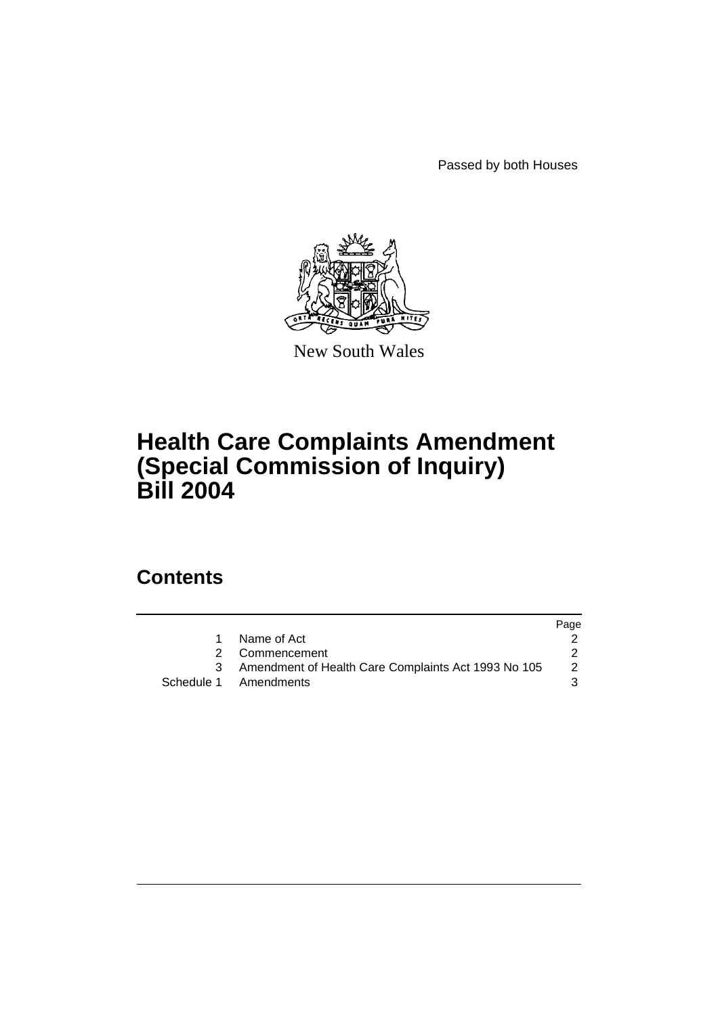Passed by both Houses



New South Wales

# **Health Care Complaints Amendment (Special Commission of Inquiry) Bill 2004**

# **Contents**

|   |                                                       | Page |
|---|-------------------------------------------------------|------|
| 1 | Name of Act                                           |      |
|   | 2 Commencement                                        |      |
|   | 3 Amendment of Health Care Complaints Act 1993 No 105 | 2    |
|   | Schedule 1 Amendments                                 | 3    |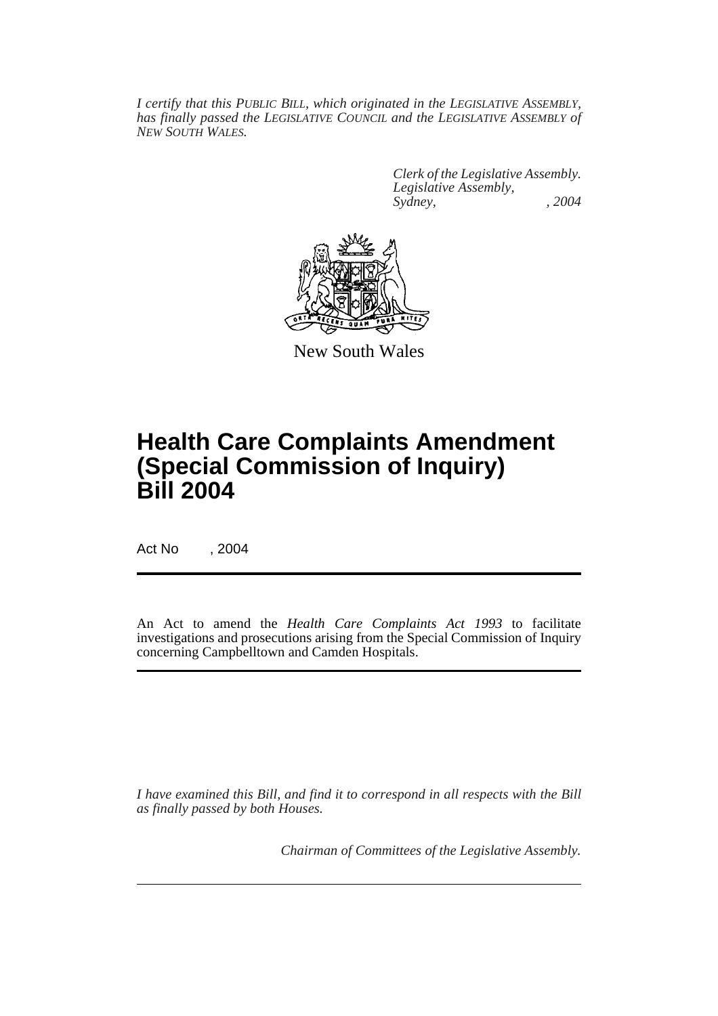*I certify that this PUBLIC BILL, which originated in the LEGISLATIVE ASSEMBLY, has finally passed the LEGISLATIVE COUNCIL and the LEGISLATIVE ASSEMBLY of NEW SOUTH WALES.*

> *Clerk of the Legislative Assembly. Legislative Assembly, Sydney, , 2004*



New South Wales

# **Health Care Complaints Amendment (Special Commission of Inquiry) Bill 2004**

Act No , 2004

An Act to amend the *Health Care Complaints Act 1993* to facilitate investigations and prosecutions arising from the Special Commission of Inquiry concerning Campbelltown and Camden Hospitals.

*I have examined this Bill, and find it to correspond in all respects with the Bill as finally passed by both Houses.*

*Chairman of Committees of the Legislative Assembly.*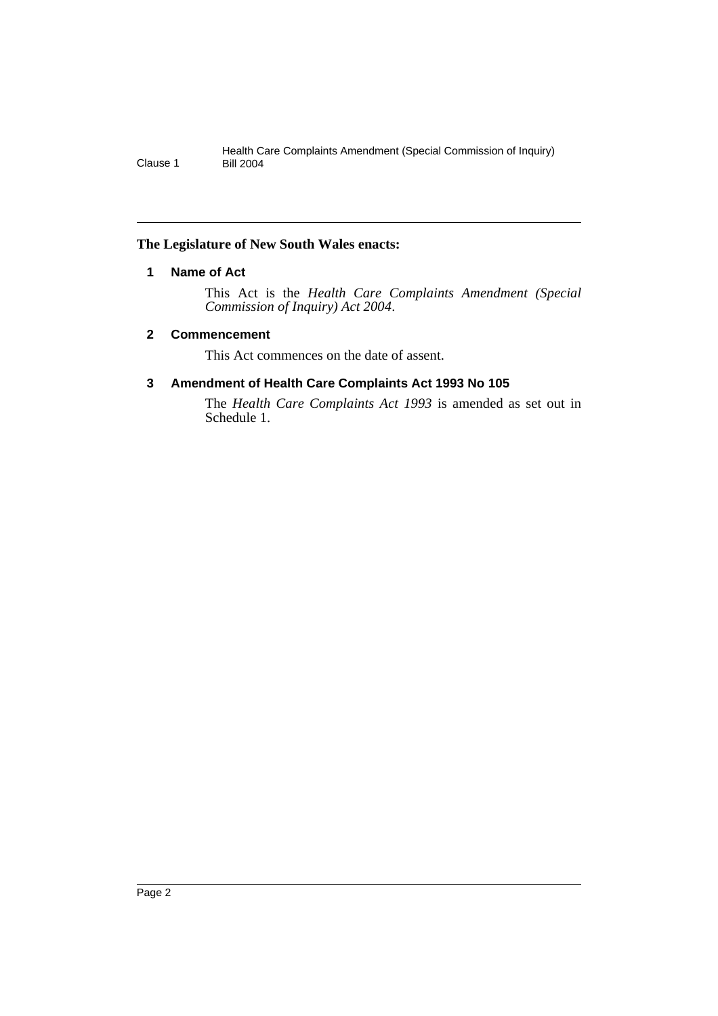### **The Legislature of New South Wales enacts:**

## **1 Name of Act**

This Act is the *Health Care Complaints Amendment (Special Commission of Inquiry) Act 2004*.

### **2 Commencement**

This Act commences on the date of assent.

## **3 Amendment of Health Care Complaints Act 1993 No 105**

The *Health Care Complaints Act 1993* is amended as set out in Schedule 1.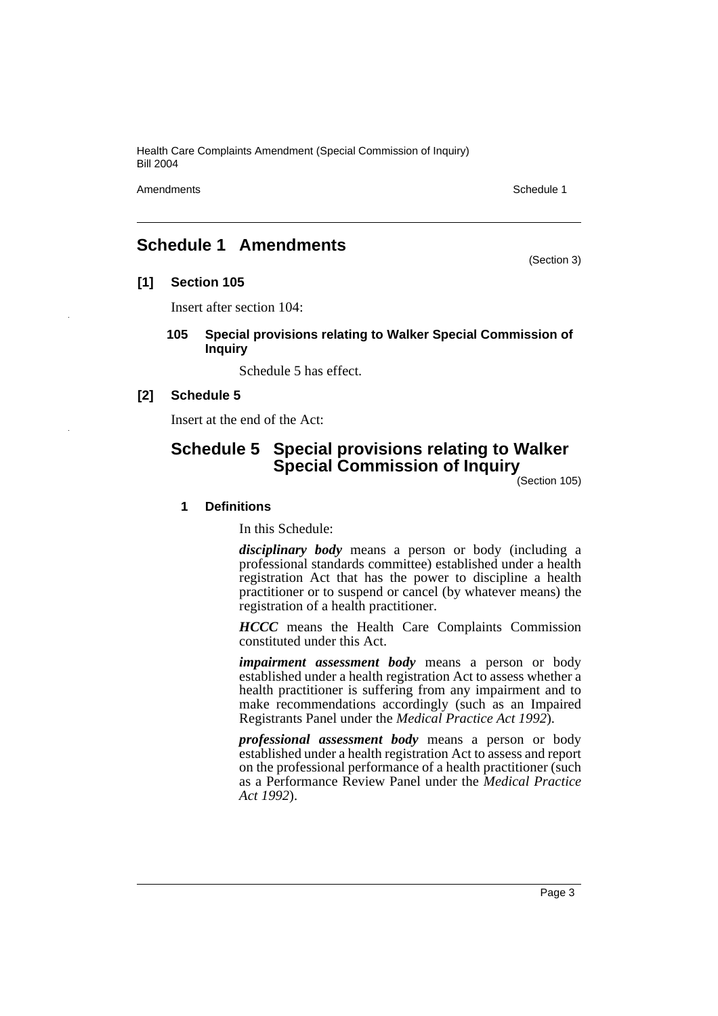Amendments **Schedule 1** and the set of the set of the set of the set of the set of the set of the set of the set of the set of the set of the set of the set of the set of the set of the set of the set of the set of the set

(Section 3)

## **Schedule 1 Amendments**

**[1] Section 105**

Insert after section 104:

**105 Special provisions relating to Walker Special Commission of Inquiry**

Schedule 5 has effect.

### **[2] Schedule 5**

Insert at the end of the Act:

# **Schedule 5 Special provisions relating to Walker Special Commission of Inquiry**

(Section 105)

### **1 Definitions**

In this Schedule:

*disciplinary body* means a person or body (including a professional standards committee) established under a health registration Act that has the power to discipline a health practitioner or to suspend or cancel (by whatever means) the registration of a health practitioner.

*HCCC* means the Health Care Complaints Commission constituted under this Act.

*impairment assessment body* means a person or body established under a health registration Act to assess whether a health practitioner is suffering from any impairment and to make recommendations accordingly (such as an Impaired Registrants Panel under the *Medical Practice Act 1992*).

*professional assessment body* means a person or body established under a health registration Act to assess and report on the professional performance of a health practitioner (such as a Performance Review Panel under the *Medical Practice Act 1992*).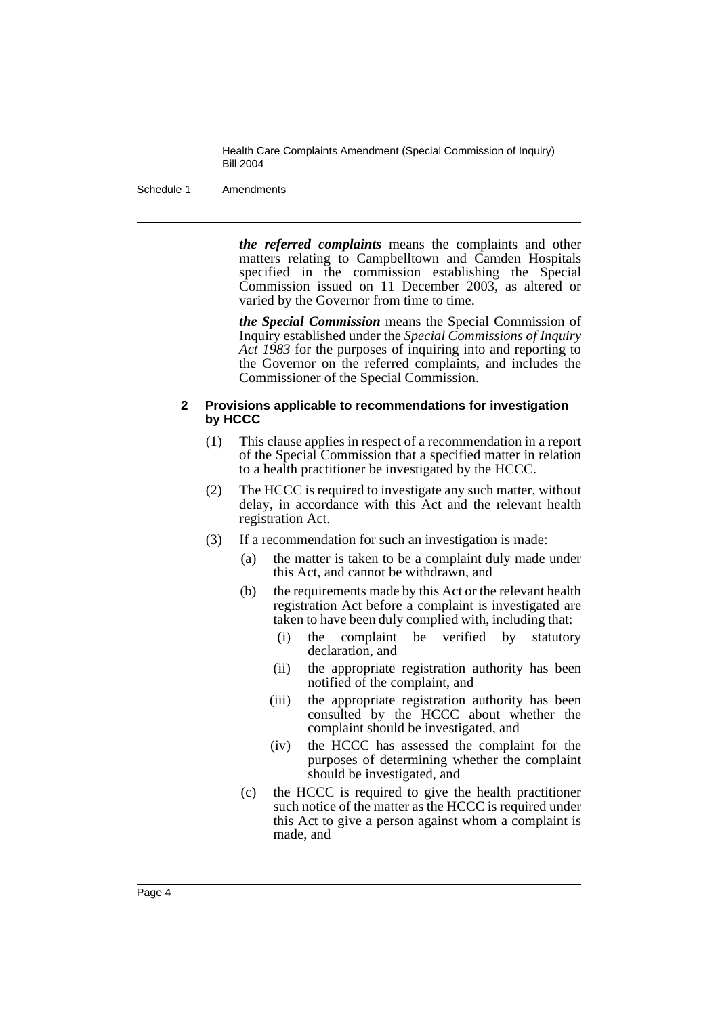Schedule 1 Amendments

*the referred complaints* means the complaints and other matters relating to Campbelltown and Camden Hospitals specified in the commission establishing the Special Commission issued on 11 December 2003, as altered or varied by the Governor from time to time.

*the Special Commission* means the Special Commission of Inquiry established under the *Special Commissions of Inquiry Act 1983* for the purposes of inquiring into and reporting to the Governor on the referred complaints, and includes the Commissioner of the Special Commission.

### **2 Provisions applicable to recommendations for investigation by HCCC**

- (1) This clause applies in respect of a recommendation in a report of the Special Commission that a specified matter in relation to a health practitioner be investigated by the HCCC.
- (2) The HCCC is required to investigate any such matter, without delay, in accordance with this Act and the relevant health registration Act.
- (3) If a recommendation for such an investigation is made:
	- (a) the matter is taken to be a complaint duly made under this Act, and cannot be withdrawn, and
	- (b) the requirements made by this Act or the relevant health registration Act before a complaint is investigated are taken to have been duly complied with, including that:
		- (i) the complaint be verified by statutory declaration, and
		- (ii) the appropriate registration authority has been notified of the complaint, and
		- (iii) the appropriate registration authority has been consulted by the HCCC about whether the complaint should be investigated, and
		- (iv) the HCCC has assessed the complaint for the purposes of determining whether the complaint should be investigated, and
	- (c) the HCCC is required to give the health practitioner such notice of the matter as the HCCC is required under this Act to give a person against whom a complaint is made, and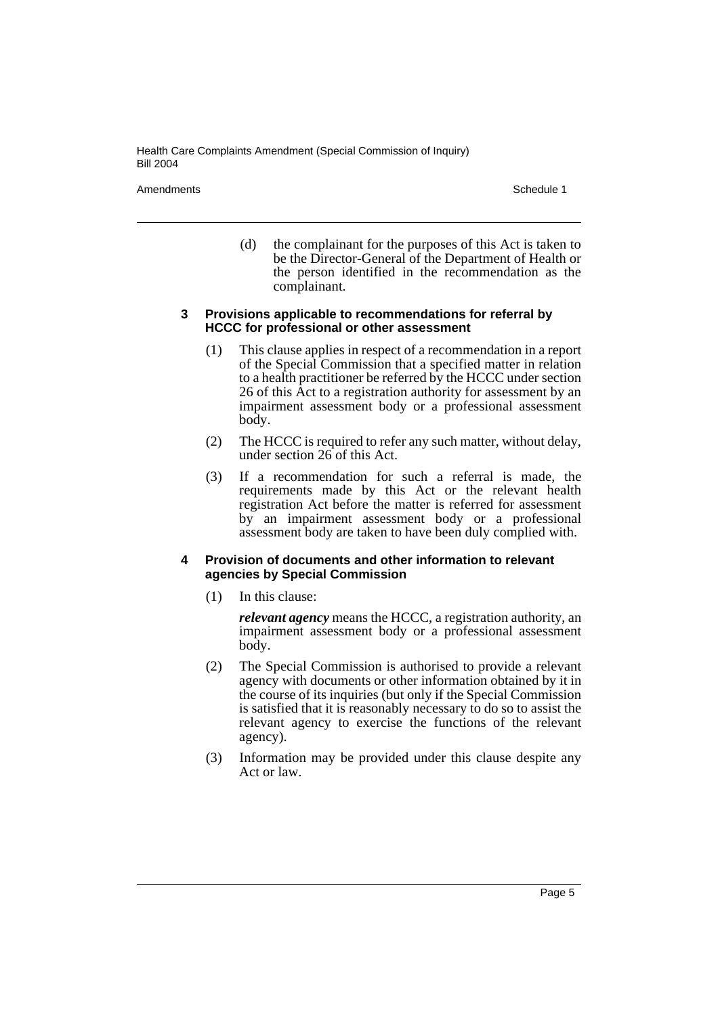Amendments **Schedule 1** and the set of the set of the set of the set of the set of the set of the set of the set of the set of the set of the set of the set of the set of the set of the set of the set of the set of the set

(d) the complainant for the purposes of this Act is taken to be the Director-General of the Department of Health or the person identified in the recommendation as the complainant.

### **3 Provisions applicable to recommendations for referral by HCCC for professional or other assessment**

- (1) This clause applies in respect of a recommendation in a report of the Special Commission that a specified matter in relation to a health practitioner be referred by the HCCC under section 26 of this Act to a registration authority for assessment by an impairment assessment body or a professional assessment body.
- (2) The HCCC is required to refer any such matter, without delay, under section 26 of this Act.
- (3) If a recommendation for such a referral is made, the requirements made by this Act or the relevant health registration Act before the matter is referred for assessment by an impairment assessment body or a professional assessment body are taken to have been duly complied with.

### **4 Provision of documents and other information to relevant agencies by Special Commission**

(1) In this clause:

*relevant agency* means the HCCC, a registration authority, an impairment assessment body or a professional assessment body.

- (2) The Special Commission is authorised to provide a relevant agency with documents or other information obtained by it in the course of its inquiries (but only if the Special Commission is satisfied that it is reasonably necessary to do so to assist the relevant agency to exercise the functions of the relevant agency).
- (3) Information may be provided under this clause despite any Act or law.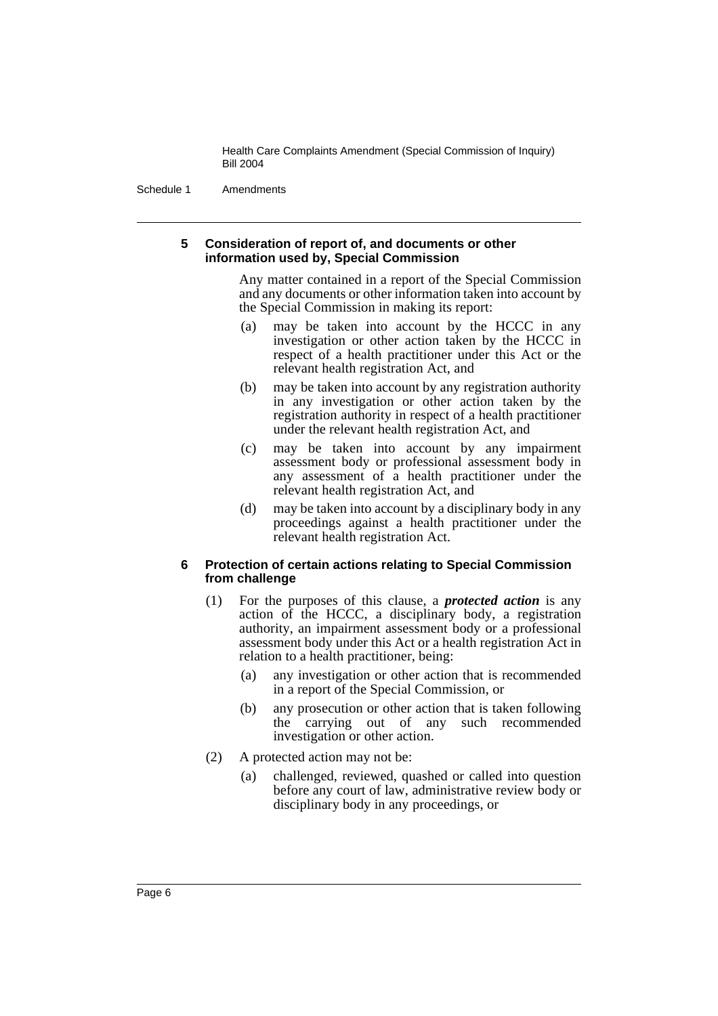Schedule 1 Amendments

### **5 Consideration of report of, and documents or other information used by, Special Commission**

Any matter contained in a report of the Special Commission and any documents or other information taken into account by the Special Commission in making its report:

- (a) may be taken into account by the HCCC in any investigation or other action taken by the HCCC in respect of a health practitioner under this Act or the relevant health registration Act, and
- (b) may be taken into account by any registration authority in any investigation or other action taken by the registration authority in respect of a health practitioner under the relevant health registration Act, and
- (c) may be taken into account by any impairment assessment body or professional assessment body in any assessment of a health practitioner under the relevant health registration Act, and
- (d) may be taken into account by a disciplinary body in any proceedings against a health practitioner under the relevant health registration Act.

### **6 Protection of certain actions relating to Special Commission from challenge**

- (1) For the purposes of this clause, a *protected action* is any action of the HCCC, a disciplinary body, a registration authority, an impairment assessment body or a professional assessment body under this Act or a health registration Act in relation to a health practitioner, being:
	- (a) any investigation or other action that is recommended in a report of the Special Commission, or
	- (b) any prosecution or other action that is taken following the carrying out of any such recommended investigation or other action.
- (2) A protected action may not be:
	- (a) challenged, reviewed, quashed or called into question before any court of law, administrative review body or disciplinary body in any proceedings, or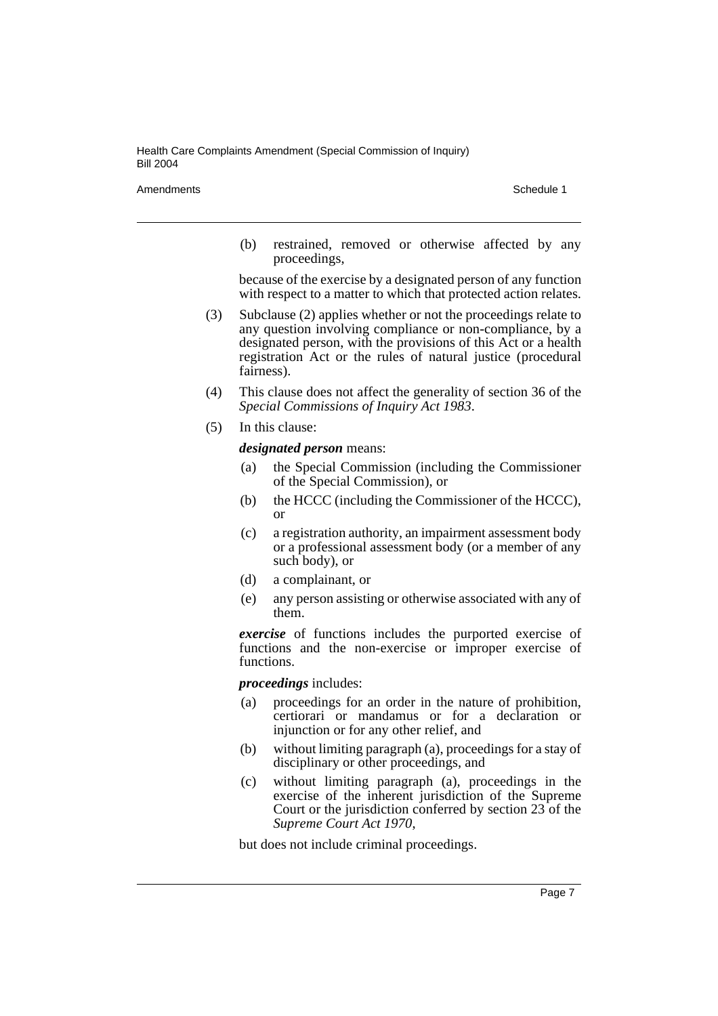Amendments **Schedule 1** and the set of the set of the set of the set of the set of the set of the set of the set of the set of the set of the set of the set of the set of the set of the set of the set of the set of the set

(b) restrained, removed or otherwise affected by any proceedings,

because of the exercise by a designated person of any function with respect to a matter to which that protected action relates.

- (3) Subclause (2) applies whether or not the proceedings relate to any question involving compliance or non-compliance, by a designated person, with the provisions of this Act or a health registration Act or the rules of natural justice (procedural fairness).
- (4) This clause does not affect the generality of section 36 of the *Special Commissions of Inquiry Act 1983*.
- (5) In this clause:

*designated person* means:

- (a) the Special Commission (including the Commissioner of the Special Commission), or
- (b) the HCCC (including the Commissioner of the HCCC), or
- (c) a registration authority, an impairment assessment body or a professional assessment body (or a member of any such body), or
- (d) a complainant, or
- (e) any person assisting or otherwise associated with any of them.

*exercise* of functions includes the purported exercise of functions and the non-exercise or improper exercise of functions.

*proceedings* includes:

- (a) proceedings for an order in the nature of prohibition, certiorari or mandamus or for a declaration or injunction or for any other relief, and
- (b) without limiting paragraph (a), proceedings for a stay of disciplinary or other proceedings, and
- (c) without limiting paragraph (a), proceedings in the exercise of the inherent jurisdiction of the Supreme Court or the jurisdiction conferred by section 23 of the *Supreme Court Act 1970*,

but does not include criminal proceedings.